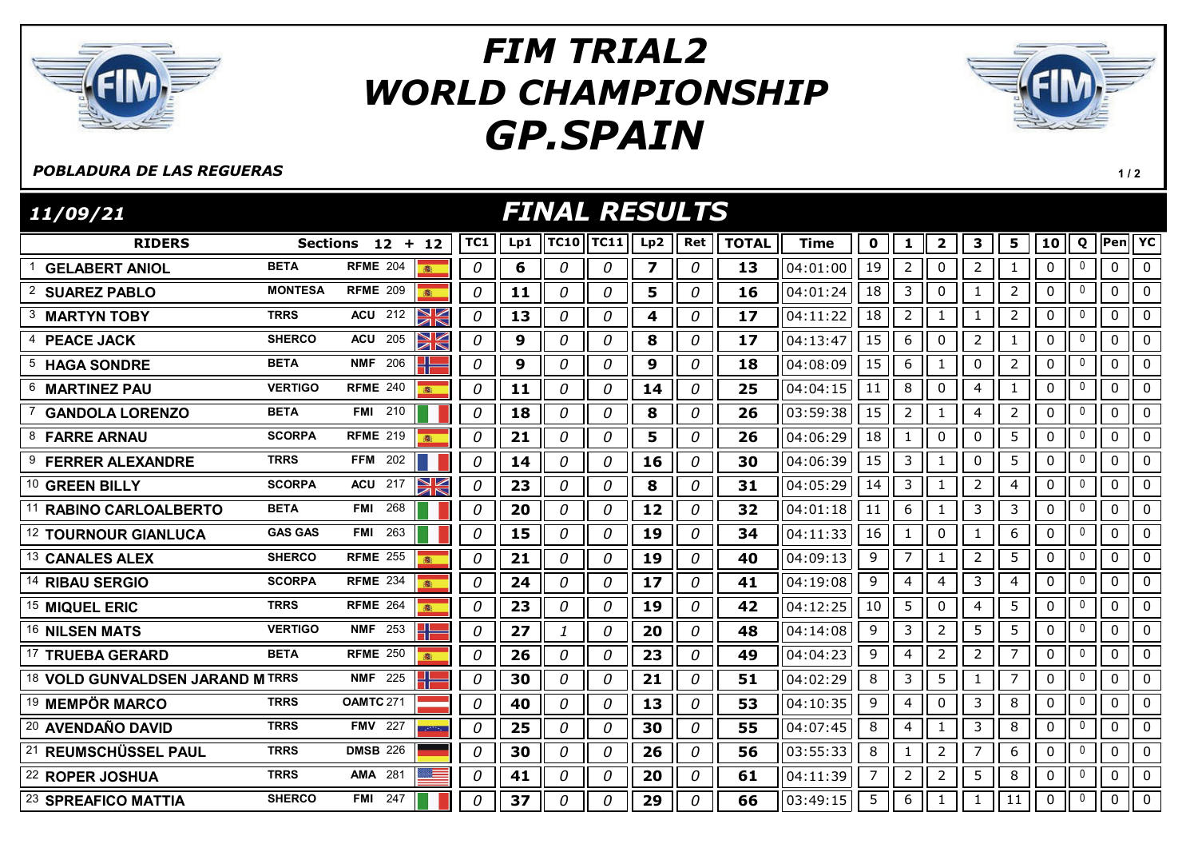

## GP.SPAIN FIM TRIAL2 WORLD CHAMPIONSHIP



## POBLADURA DE LAS REGUERAS

RIDERS Sections 12 + 12 ||TC1 || Lp1 ||TC10||TC11|| Lp2 || Ret || TOTAL || Time || 0 || 1 || 2 || 3 || 5 || 10 || Q ||Pen| FINAL RESULTS 11/09/21 TC11|| Lp2 || Ret || TOTAL || Time || 0 || 1 || 2 || 3 || 5 || 10 || Q ||Pen|| YC <sup>1</sup> GELABERT ANIOL BETA RFME <sup>204</sup> 0 6 0 0 7 0 13 04:01:00 19 2 0 2 1 0 <sup>0</sup> 0 0 <sup>2</sup> SUAREZ PABLO MONTESA RFME <sup>209</sup> 0 11 0 0 5 0 16 04:01:24 18 3 0 1 2 0 <sup>0</sup> 0 0 3 MARTYN TOBY TRRS ACU 212  $\frac{1}{2}$  0 13 0 0 0 4 0 17 04:11:22 18 2 1 0 1 2 0 0 0 4 **PEACE JACK** SHERCO ACU 205 **2 6 0 9 0 0 0 8 0 17** 04:13:47 15 6 0 2 1 0 0 0 0 <sup>5</sup> HAGA SONDRE BETA NMF <sup>206</sup> 0 9 0 0 9 0 18 04:08:09 15 6 1 0 2 0 <sup>0</sup> 0 0 <sup>6</sup> MARTINEZ PAU VERTIGO RFME <sup>240</sup> 0 11 0 0 14 0 25 04:04:15 11 8 0 4 1 0 <sup>0</sup> 0 0 7 GANDOLA LORENZO BETA FMI 210 | 0 | 18 | 0 | 0 | 8 | 0 | 26 | 03:59:38 | 15 | 2 | 1 | 4 | 2 | 0 | 0 | 0 | 0 8 FARRE ARNAU SCORPA RFME 219 8 | 0 | 21 | 0 | 0 | 5 | 0 | 26 | 04:06:29 | 18 | 1 | 0 | 0 | 5 | 0 | 0 | 0 | 0 9 FERRER ALEXANDRE TRRS FFM 202 | | | 0 | 14 | 0 | 0 | 16 | 0 | 30 | 04:06:39 | 15 | 3 | 1 | 0 | 5 | 0 | 0 | 0 10 GREEN BILLY SCORPA ACU 217 2 0 3 0 0 31 0 31 04:05:29 14 3 1 2 4 0 0 0 <sup>11</sup> RABINO CARLOALBERTO BETA FMI <sup>268</sup> 0 20 0 0 12 0 32 04:01:18 11 6 1 3 3 0 <sup>0</sup> 0 0 12 TOURNOUR GIANLUCA GAS GAS FMI 263 | 0 0 15 0 0 19 0 34 04:11:33 16 1 0 1 1 6 0 0 0 0 0 13 CANALES ALEX SHERCO RFME 255 3 0 0 21 0 0 0 19 0 40 04:09:13 9 7 1 2 5 0 0 0 0 14 RIBAU SERGIO SCORPA RFME 234 8 0 24 0 0 17 0 41 04:19:08 9 4 4 3 4 0 0 0 0 15 MIQUEL ERIC TRRS RFME 264 8 0 23 0 0 19 0 42 04:12:25 10 5 0 4 5 0 0 0 0 16 NILSEN MATS VERTIGO NMF 253 **4 6 0 27 1 0 20 0 48** 04:14:08 9 3 2 5 5 0 0 0 17 TRUEBA GERARD BETA RFME 250 8 0 0 26 0 0 0 23 0 49 04:04:23 9 4 2 7 0 0 0 0 18 VOLD GUNVALDSEN JARAND M TRRS NMF 225  $\Box$  0 30 0 0 0 21 0 31 0 51 04:02:29 8 3 5 1 1 7 0 0 0 0 0 19 MEMPÖR MARCO TRRS OAMTC 271 | 0 40 0 0 0 13 0 53 04:10:35 9 4 0 3 8 0 0 0 0 <sup>20</sup> AVENDAÑO DAVID TRRS FMV <sup>227</sup> 0 25 0 0 30 0 55 04:07:45 8 4 1 3 8 0 <sup>0</sup> 0 0 21 REUMSCHÜSSEL PAUL TRRS DMSB 226 **1 1 0 1 30 0 0 1 0 1 26 0 1 56** 03:55:33 8 1 1 1 2 1 7 1 6 1 0 1 0 1 0 0 <sup>22</sup> ROPER JOSHUA TRRS AMA <sup>281</sup> 0 41 0 0 20 0 61 04:11:39 7 2 2 5 8 0 <sup>0</sup> 0 0 23 SPREAFICO MATTIA SHERCO FMI 247 | | | | 0 | 37 | 0 | 0 | 29 | 0 | 66 | 03:49:15 | 5 | 6 | 1 | 1 | 1 | 1 | 0 || 0 || 0 || 0

 $1/2$